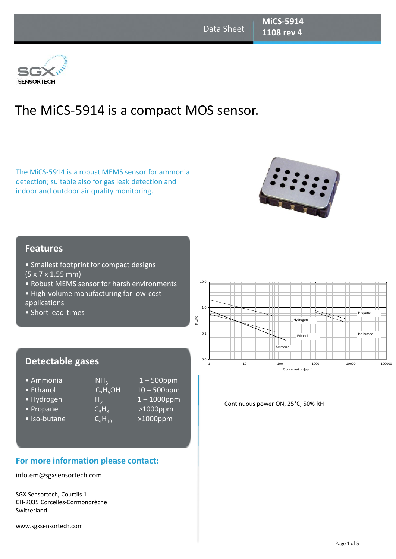## 3G) **SENSORTECH**

# The MiCS-5914 is a compact MOS sensor.

The MiCS-5914 is a robust MEMS sensor for ammonia detection; suitable also for gas leak detection and indoor and outdoor air quality monitoring.



## **Features**

- Smallest footprint for compact designs (5 x 7 x 1.55 mm)
- Robust MEMS sensor for harsh environments
- High-volume manufacturing for low-cost
- applications
- Short lead-times

## **Detectable gases**

- 
- 
- Hydrogen  $H_2$
- 
- 
- Ammonia  $\bullet$  NH<sub>3</sub><br>• Ethanol  $C_2H_5OH$ • Propane  $C_3H_8$ <br>• Iso-butane  $C_4H_{10}$
- 1 500ppm  $10 - 500$ ppm 1 – 1000ppm >1000ppm

## $>1000$ ppm

## **For more information please contact:**

info.em@sgxsensortech.com

SGX Sensortech, Courtils 1 CH-2035 Corcelles-Cormondrèche Switzerland

www.sgxsensortech.com



#### Continuous power ON, 25°C, 50% RH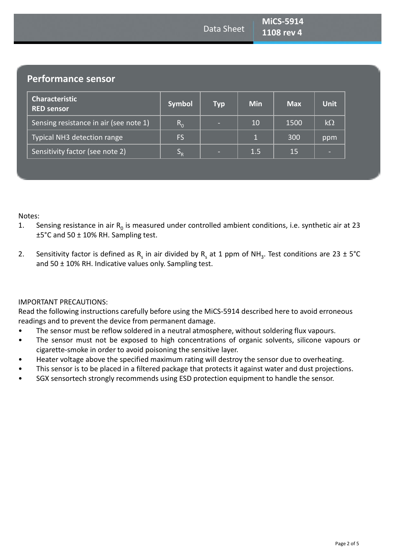**Performance sensor**

| <b>Characteristic</b><br><b>RED sensor</b> | <b>Symbol</b>             | <b>Typ</b> | <b>Min</b> | <b>Max</b> | <b>Unit</b> |
|--------------------------------------------|---------------------------|------------|------------|------------|-------------|
| Sensing resistance in air (see note 1)     | $R_{0}$                   | -          | 10         | 1500       | $k\Omega$   |
| Typical NH3 detection range                | FS.                       |            |            | 300        | ppm         |
| Sensitivity factor (see note 2)            | $\mathsf{P}_{\mathsf{R}}$ | -          | 1.5        | 15         |             |

Notes:

- 1. Sensing resistance in air  $R_0$  is measured under controlled ambient conditions, i.e. synthetic air at 23 ±5°C and 50 ± 10% RH. Sampling test.
- 2. Sensitivity factor is defined as R<sub>s</sub> in air divided by R<sub>s</sub> at 1 ppm of NH<sub>3</sub>. Test conditions are 23 ± 5°C and  $50 \pm 10\%$  RH. Indicative values only. Sampling test.

## IMPORTANT PRECAUTIONS:

Read the following instructions carefully before using the MiCS-5914 described here to avoid erroneous readings and to prevent the device from permanent damage.

- The sensor must be reflow soldered in a neutral atmosphere, without soldering flux vapours.
- The sensor must not be exposed to high concentrations of organic solvents, silicone vapours or cigarette-smoke in order to avoid poisoning the sensitive layer.
- Heater voltage above the specified maximum rating will destroy the sensor due to overheating.
- This sensor is to be placed in a filtered package that protects it against water and dust projections.
- SGX sensortech strongly recommends using ESD protection equipment to handle the sensor.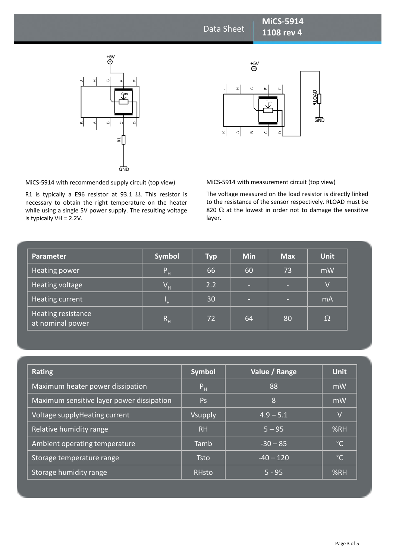## Data Sheet

# $\overset{+5V}{\oplus}$  $\pm$  $\circ$  $\omega$ 리 **GND**



**MiCS-5914 1108 rev 4** 

MiCS-5914 with recommended supply circuit (top view)

**Power circuit circuit circuit circuit is typically a E96 resistor at 93.1 Ω. This resistor is** necessary to obtain the right temperature on the heater while using a single 5V power supply. The resulting voltage is typically VH = 2.2V.

MiCS-5914 with measurement circuit (top view)

The voltage measured on the load resistor is directly linked to the resistance of the sensor respectively. RLOAD must be 820  $\Omega$  at the lowest in order not to damage the sensitive layer.

| <b>Parameter</b>                       | <b>Symbol</b>             | <b>Typ</b> | <b>Min</b> | <b>Max</b> | <b>Unit</b>    |
|----------------------------------------|---------------------------|------------|------------|------------|----------------|
| Heating power                          | P <sub>H</sub>            | 66         | 60         | 73         | mW             |
| Heating voltage                        | $\mathsf{V}_{\mathsf{H}}$ | 2.2        | -          | ×.         | $\overline{V}$ |
| Heating current                        | W                         | 30         | -          | -          | mA             |
| Heating resistance<br>at nominal power | $R_{\rm H}$               | 72         | 64         | 80         | $\Omega$       |

| <b>Rating</b>                             | <b>Symbol</b>  | Value / Range | <b>Unit</b>     |
|-------------------------------------------|----------------|---------------|-----------------|
| Maximum heater power dissipation          | P <sub>H</sub> | 88            | mW              |
| Maximum sensitive layer power dissipation | Ps             | 8             | $m\overline{W}$ |
| Voltage supplyHeating current             | <b>Vsupply</b> | $4.9 - 5.1$   | V               |
| Relative humidity range                   | <b>RH</b>      | $5 - 95$      | %RH             |
| Ambient operating temperature             | Tamb           | $-30 - 85$    | $^{\circ}$ C    |
| Storage temperature range                 | <b>Tsto</b>    | $-40 - 120$   | $^{\circ}$ C    |
| <b>Storage humidity range</b>             | <b>RHsto</b>   | $5 - 95$      | %RH             |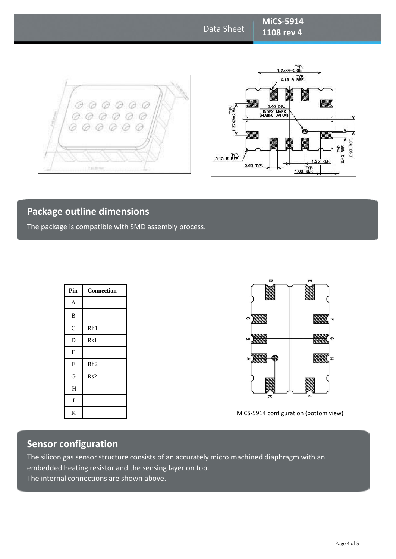## Data Sheet

**MiCS-5914 1108 rev 4** 





## **Package outline dimensions**

The package is compatible with SMD assembly process.

| Pin                       | Connection      |
|---------------------------|-----------------|
| $\mathbf A$               |                 |
| $\, {\bf B}$              |                 |
| $\mathsf{C}$              | Rh1             |
| $\mathbf D$               | Rs <sub>1</sub> |
| E                         |                 |
| $\boldsymbol{\mathrm{F}}$ | Rh2             |
| G                         | Rs2             |
| H                         |                 |
| $\bf J$                   |                 |
| K                         |                 |



MiCS-5914 configuration (bottom view)

## **Sensor configuration**

The silicon gas sensor structure consists of an accurately micro machined diaphragm with an embedded heating resistor and the sensing layer on top. The internal connections are shown above.